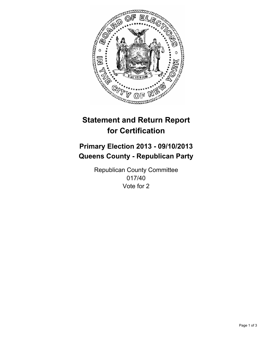

# **Statement and Return Report for Certification**

# **Primary Election 2013 - 09/10/2013 Queens County - Republican Party**

Republican County Committee 017/40 Vote for 2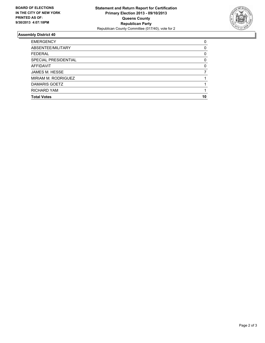

## **Assembly District 40**

| 0  |
|----|
| 0  |
| 0  |
| 0  |
| 0  |
|    |
|    |
|    |
|    |
| 10 |
|    |